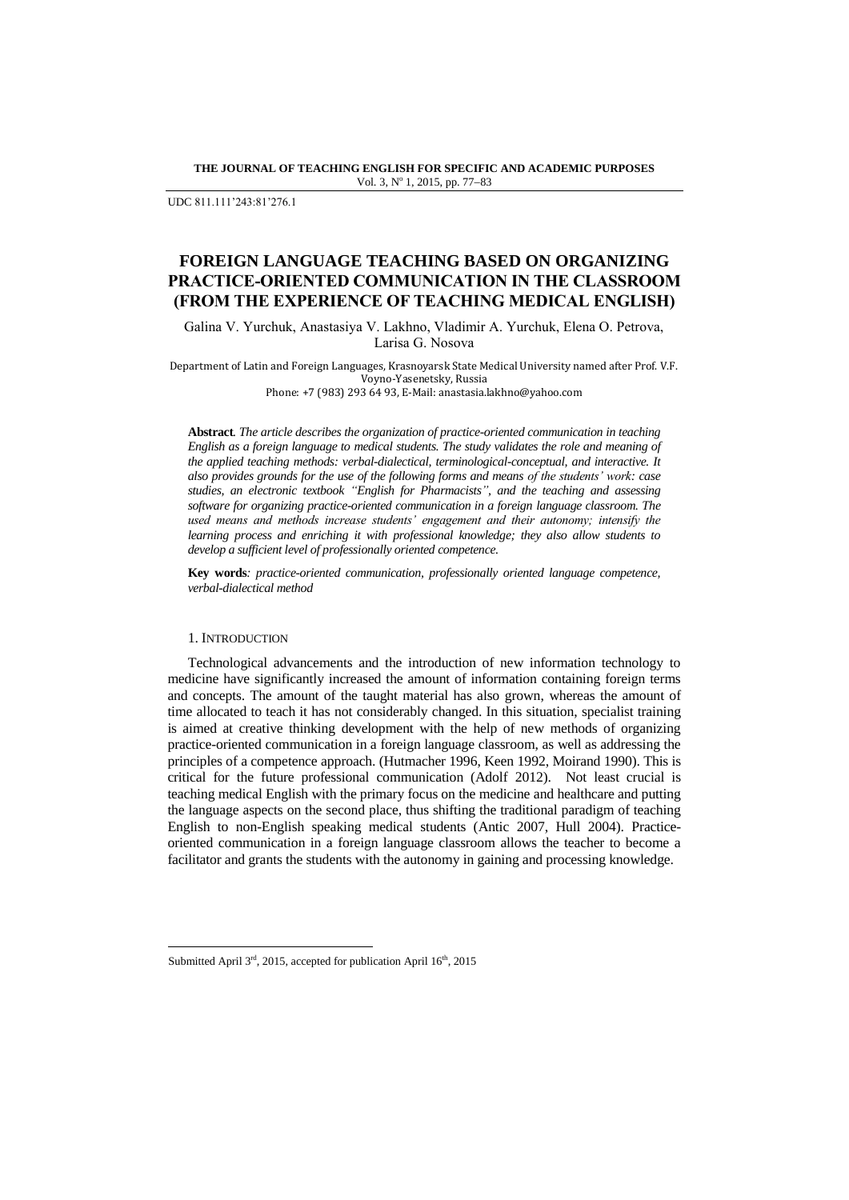**THE JOURNAL OF TEACHING ENGLISH FOR SPECIFIC AND ACADEMIC PURPOSES** Vol. 3, Nº 1, 2015, pp. 77-83

UDC 811.111'243:81'276.1

# **FOREIGN LANGUAGE TEACHING BASED ON ORGANIZING PRACTICE-ORIENTED COMMUNICATION IN THE CLASSROOM (FROM THE EXPERIENCE OF TEACHING MEDICAL ENGLISH)**

Galina V. Yurchuk, Anastasiya V. Lakhno, Vladimir A. Yurchuk, Elena O. Petrova, Larisa G. Nosova

Department of Latin and Foreign Languages, Krasnoyarsk State Medical University named after Prof. V.F. Voyno-Yasenetsky, Russia

Phone: +7 (983) 293 64 93, E-Mail: anastasia.lakhno@yahoo.com

**Abstract***. The article describes the organization of practice-oriented communication in teaching English as a foreign language to medical students. The study validates the role and meaning of the applied teaching methods: verbal-dialectical, terminological-conceptual, and interactive. It also provides grounds for the use of the following forms and means of the students' work: case studies, an electronic textbook "English for Pharmacists", and the teaching and assessing software for organizing practice-oriented communication in a foreign language classroom. The used means and methods increase students' engagement and their autonomy; intensify the learning process and enriching it with professional knowledge; they also allow students to develop a sufficient level of professionally oriented competence.* 

**Key words***: practice-oriented communication, professionally oriented language competence, verbal-dialectical method*

## 1. INTRODUCTION

 $\overline{a}$ 

Technological advancements and the introduction of new information technology to medicine have significantly increased the amount of information containing foreign terms and concepts. The amount of the taught material has also grown, whereas the amount of time allocated to teach it has not considerably changed. In this situation, specialist training is aimed at creative thinking development with the help of new methods of organizing practice-oriented communication in a foreign language classroom, as well as addressing the principles of a competence approach. (Hutmacher 1996, Keen 1992, Moirand 1990). This is critical for the future professional communication (Adolf 2012). Not least crucial is teaching medical English with the primary focus on the medicine and healthcare and putting the language aspects on the second place, thus shifting the traditional paradigm of teaching English to non-English speaking medical students (Antic 2007, Hull 2004). Practiceoriented communication in a foreign language classroom allows the teacher to become a facilitator and grants the students with the autonomy in gaining and processing knowledge.

Submitted April 3rd, 2015, accepted for publication April 16<sup>th</sup>, 2015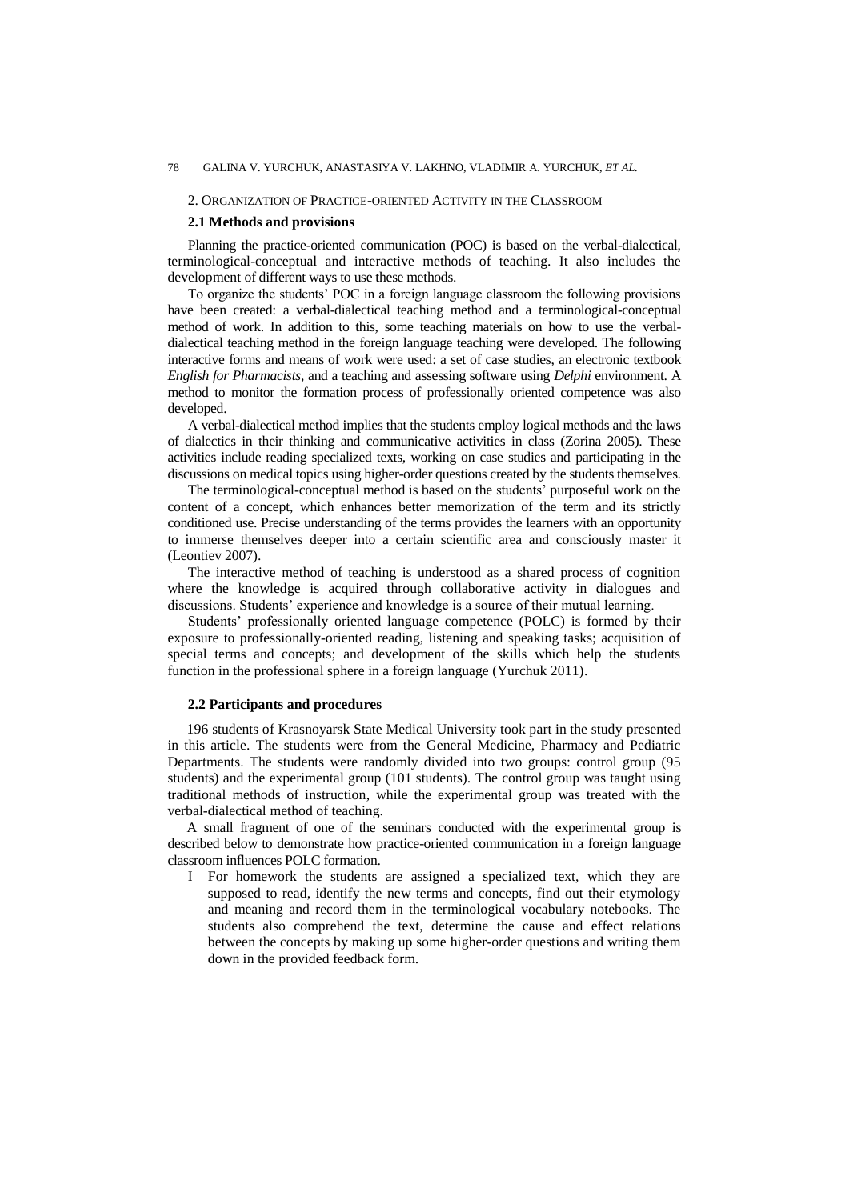## 2. ORGANIZATION OF PRACTICE-ORIENTED ACTIVITY IN THE CLASSROOM

#### **2.1 Methods and provisions**

Planning the practice-oriented communication (POC) is based on the verbal-dialectical, terminological-conceptual and interactive methods of teaching. It also includes the development of different ways to use these methods.

To organize the students' POC in a foreign language classroom the following provisions have been created: a verbal-dialectical teaching method and a terminological-conceptual method of work. In addition to this, some teaching materials on how to use the verbaldialectical teaching method in the foreign language teaching were developed. The following interactive forms and means of work were used: a set of case studies, an electronic textbook *English for Pharmacists*, and a teaching and assessing software using *Delphi* environment. A method to monitor the formation process of professionally oriented competence was also developed.

A verbal-dialectical method implies that the students employ logical methods and the laws of dialectics in their thinking and communicative activities in class (Zorina 2005). These activities include reading specialized texts, working on case studies and participating in the discussions on medical topics using higher-order questions created by the students themselves.

The terminological-conceptual method is based on the students' purposeful work on the content of a concept, which enhances better memorization of the term and its strictly conditioned use. Precise understanding of the terms provides the learners with an opportunity to immerse themselves deeper into a certain scientific area and consciously master it (Leontiev 2007).

The interactive method of teaching is understood as a shared process of cognition where the knowledge is acquired through collaborative activity in dialogues and discussions. Students' experience and knowledge is a source of their mutual learning.

Students' professionally oriented language competence (POLC) is formed by their exposure to professionally-oriented reading, listening and speaking tasks; acquisition of special terms and concepts; and development of the skills which help the students function in the professional sphere in a foreign language (Yurchuk 2011).

## **2.2 Participants and procedures**

196 students of Krasnoyarsk State Medical University took part in the study presented in this article. The students were from the General Medicine, Pharmacy and Pediatric Departments. The students were randomly divided into two groups: control group (95 students) and the experimental group (101 students). The control group was taught using traditional methods of instruction, while the experimental group was treated with the verbal-dialectical method of teaching.

A small fragment of one of the seminars conducted with the experimental group is described below to demonstrate how practice-oriented communication in a foreign language classroom influences POLC formation.

I For homework the students are assigned a specialized text, which they are supposed to read, identify the new terms and concepts, find out their etymology and meaning and record them in the terminological vocabulary notebooks. The students also comprehend the text, determine the cause and effect relations between the concepts by making up some higher-order questions and writing them down in the provided feedback form.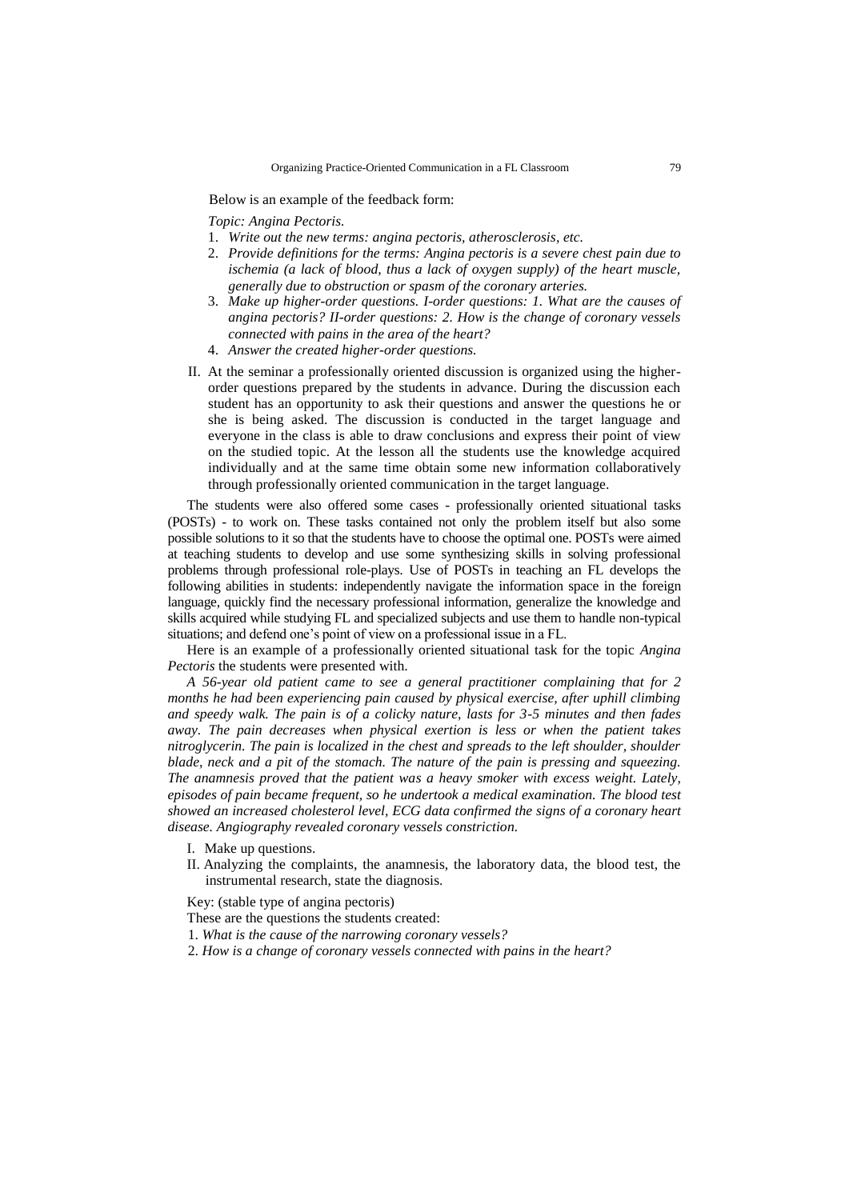Below is an example of the feedback form:

*Topic: Angina Pectoris.*

- 1. *Write out the new terms: angina pectoris, atherosclerosis, etc.*
- 2. *Provide definitions for the terms: Angina pectoris is a severe chest pain due to ischemia (a lack of blood, thus a lack of oxygen supply) of the heart muscle, generally due to obstruction or spasm of the coronary arteries.*
- 3. *Make up higher-order questions. I-order questions: 1. What are the causes of angina pectoris? II-order questions: 2. How is the change of coronary vessels connected with pains in the area of the heart?*
- 4. *Answer the created higher-order questions.*
- II. At the seminar a professionally oriented discussion is organized using the higherorder questions prepared by the students in advance. During the discussion each student has an opportunity to ask their questions and answer the questions he or she is being asked. The discussion is conducted in the target language and everyone in the class is able to draw conclusions and express their point of view on the studied topic. At the lesson all the students use the knowledge acquired individually and at the same time obtain some new information collaboratively through professionally oriented communication in the target language.

The students were also offered some cases - professionally oriented situational tasks (POSTs) - to work on. These tasks contained not only the problem itself but also some possible solutions to it so that the students have to choose the optimal one. POSTs were aimed at teaching students to develop and use some synthesizing skills in solving professional problems through professional role-plays. Use of POSTs in teaching an FL develops the following abilities in students: independently navigate the information space in the foreign language, quickly find the necessary professional information, generalize the knowledge and skills acquired while studying FL and specialized subjects and use them to handle non-typical situations; and defend one's point of view on a professional issue in a FL.

Here is an example of a professionally oriented situational task for the topic *Angina Pectoris* the students were presented with.

*A 56-year old patient came to see a general practitioner complaining that for 2 months he had been experiencing pain caused by physical exercise, after uphill climbing and speedy walk. The pain is of a colicky nature, lasts for 3-5 minutes and then fades away. The pain decreases when physical exertion is less or when the patient takes nitroglycerin. The pain is localized in the chest and spreads to the left shoulder, shoulder blade, neck and a pit of the stomach. The nature of the pain is pressing and squeezing. The anamnesis proved that the patient was a heavy smoker with excess weight. Lately, episodes of pain became frequent, so he undertook a medical examination. The blood test showed an increased cholesterol level, ECG data confirmed the signs of a coronary heart disease. Angiography revealed coronary vessels constriction.*

- I. Make up questions.
- II. Analyzing the complaints, the anamnesis, the laboratory data, the blood test, the instrumental research, state the diagnosis.

Key: (stable type of angina pectoris)

- These are the questions the students created:
- 1. *What is the cause of the narrowing coronary vessels?*
- 2. *How is a change of coronary vessels connected with pains in the heart?*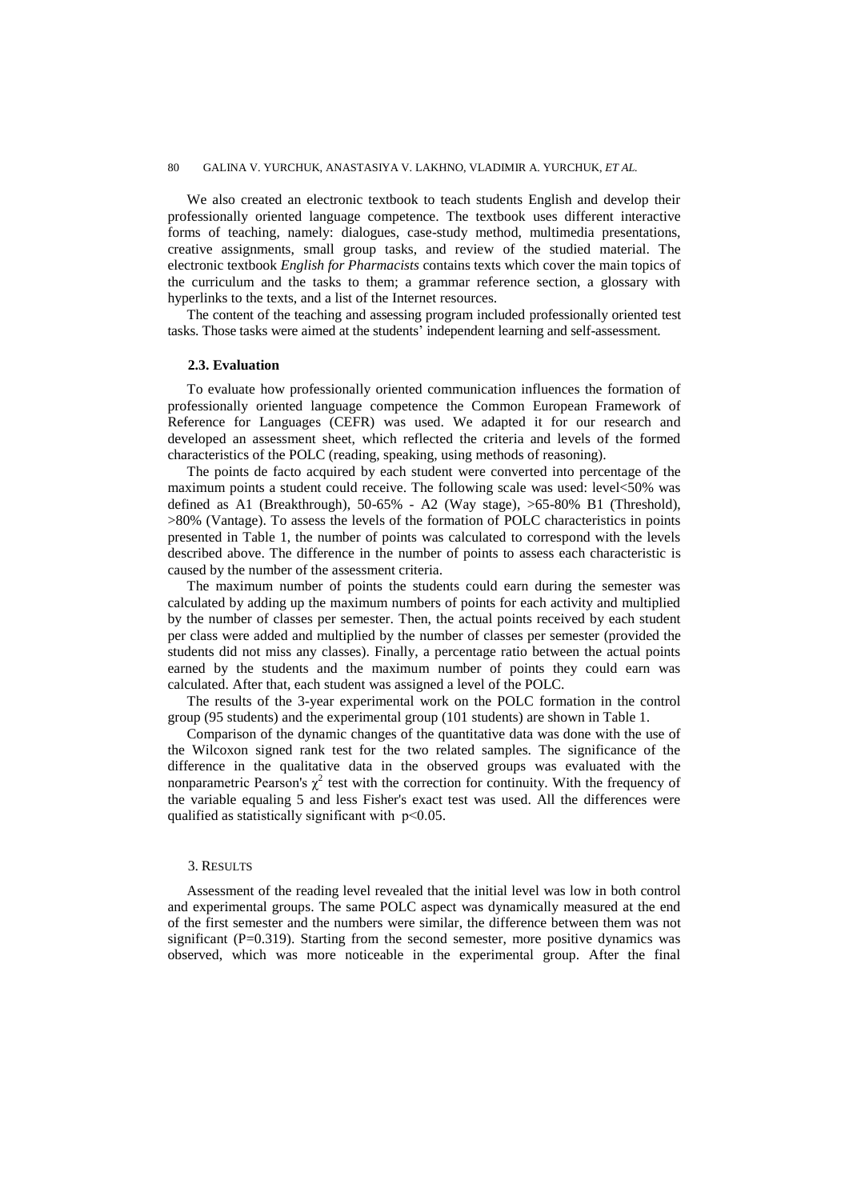We also created an electronic textbook to teach students English and develop their professionally oriented language competence. The textbook uses different interactive forms of teaching, namely: dialogues, case-study method, multimedia presentations, creative assignments, small group tasks, and review of the studied material. The electronic textbook *English for Pharmacists* contains texts which cover the main topics of the curriculum and the tasks to them; a grammar reference section, a glossary with hyperlinks to the texts, and a list of the Internet resources.

The content of the teaching and assessing program included professionally oriented test tasks. Those tasks were aimed at the students' independent learning and self-assessment.

# **2.3. Evaluation**

To evaluate how professionally oriented communication influences the formation of professionally oriented language competence the Common European Framework of Reference for Languages (CEFR) was used. We adapted it for our research and developed an assessment sheet, which reflected the criteria and levels of the formed characteristics of the POLC (reading, speaking, using methods of reasoning).

The points de facto acquired by each student were converted into percentage of the maximum points a student could receive. The following scale was used: level<50% was defined as A1 (Breakthrough), 50-65% - A2 (Way stage), >65-80% B1 (Threshold), >80% (Vantage). To assess the levels of the formation of POLC characteristics in points presented in Table 1, the number of points was calculated to correspond with the levels described above. The difference in the number of points to assess each characteristic is caused by the number of the assessment criteria.

The maximum number of points the students could earn during the semester was calculated by adding up the maximum numbers of points for each activity and multiplied by the number of classes per semester. Then, the actual points received by each student per class were added and multiplied by the number of classes per semester (provided the students did not miss any classes). Finally, a percentage ratio between the actual points earned by the students and the maximum number of points they could earn was calculated. After that, each student was assigned a level of the POLC.

The results of the 3-year experimental work on the POLC formation in the control group (95 students) and the experimental group (101 students) are shown in Table 1.

Comparison of the dynamic changes of the quantitative data was done with the use of the Wilcoxon signed rank test for the two related samples. The significance of the difference in the qualitative data in the observed groups was evaluated with the nonparametric Pearson's  $\chi^2$  test with the correction for continuity. With the frequency of the variable equaling 5 and less Fisher's exact test was used. All the differences were qualified as statistically significant with  $p<0.05$ .

#### 3. RESULTS

Assessment of the reading level revealed that the initial level was low in both control and experimental groups. The same POLC aspect was dynamically measured at the end of the first semester and the numbers were similar, the difference between them was not significant  $(P=0.319)$ . Starting from the second semester, more positive dynamics was observed, which was more noticeable in the experimental group. After the final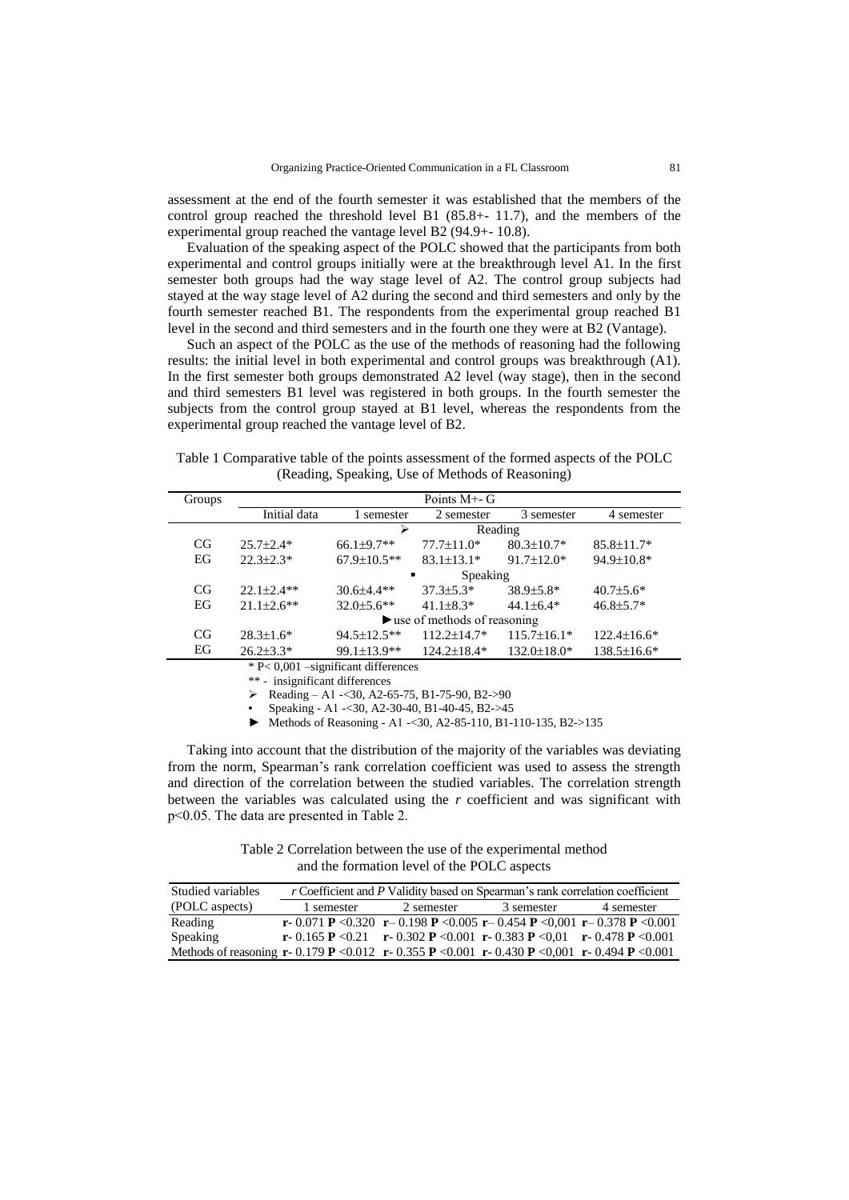assessment at the end of the fourth semester it was established that the members of the control group reached the threshold level B1 (85.8+- 11.7), and the members of the experimental group reached the vantage level B2 (94.9+- 10.8).

Evaluation of the speaking aspect of the POLC showed that the participants from both experimental and control groups initially were at the breakthrough level A1. In the first semester both groups had the way stage level of A2. The control group subjects had stayed at the way stage level of A2 during the second and third semesters and only by the fourth semester reached B1. The respondents from the experimental group reached B1 level in the second and third semesters and in the fourth one they were at B2 (Vantage).

Such an aspect of the POLC as the use of the methods of reasoning had the following results: the initial level in both experimental and control groups was breakthrough (A1). In the first semester both groups demonstrated A2 level (way stage), then in the second and third semesters B1 level was registered in both groups. In the fourth semester the subjects from the control group stayed at B1 level, whereas the respondents from the experimental group reached the vantage level of B2.

Table 1 Comparative table of the points assessment of the formed aspects of the POLC (Reading, Speaking, Use of Methods of Reasoning)

| Groups                                 | Points M <sup>+</sup> - G                         |                    |                   |                    |                    |  |  |
|----------------------------------------|---------------------------------------------------|--------------------|-------------------|--------------------|--------------------|--|--|
|                                        | Initial data                                      | semester           | 2 semester        | 3 semester         | 4 semester         |  |  |
|                                        |                                                   | ⋗<br>Reading       |                   |                    |                    |  |  |
| CG                                     | $25.7 \pm 2.4*$                                   | $66.1\pm9.7**$     | $77.7 \pm 11.0*$  | $80.3 \pm 10.7*$   | $85.8 \pm 11.7*$   |  |  |
| EG                                     | $22.3 \pm 2.3*$                                   | $67.9 \pm 10.5$ ** | $83.1 \pm 13.1*$  | $91.7 \pm 12.0*$   | 94.9±10.8*         |  |  |
|                                        |                                                   | Speaking<br>٠      |                   |                    |                    |  |  |
| CG                                     | $22.1 \pm 2.4**$                                  | $30.6 \pm 4.4**$   | $37.3 \pm 5.3*$   | $38.9 \pm 5.8^*$   | $40.7{\pm}5.6*$    |  |  |
| EG                                     | $21.1 \pm 2.6$ **                                 | $32.0 \pm 5.6$ **  | $41.1\pm8.3*$     | $44.1 \pm 6.4*$    | $46.8 \pm 5.7*$    |  |  |
|                                        | $\blacktriangleright$ use of methods of reasoning |                    |                   |                    |                    |  |  |
| CG                                     | $28.3 \pm 1.6^*$                                  | 94.5±12.5**        | $112.2 \pm 14.7*$ | $115.7 \pm 16.1*$  | $122.4 \pm 16.6*$  |  |  |
| EG                                     | $26.2 \pm 3.3*$                                   | 99.1±13.9**        | $124.2 \pm 18.4*$ | $132.0 \pm 18.0^*$ | $138.5 \pm 16.6^*$ |  |  |
| $* P < 0,001$ -significant differences |                                                   |                    |                   |                    |                    |  |  |
| ** - insignificant differences         |                                                   |                    |                   |                    |                    |  |  |

Reading – A1 -< 30, A2 -65 -75, B1 -75 -90, B2 -> 90

Speaking - A1 -< 30, A2-30-40, B1-40-45, B2->45

► Methods of Reasoning - А1 -<30, A2-85-110, B1-110-135, B2->135

Taking into account that the distribution of the majority of the variables was deviating from the norm, Spearman's rank correlation coefficient was used to assess the strength and direction of the correlation between the studied variables. The correlation strength between the variables was calculated using the *r* coefficient and was significant with р<0.05. The data are presented in Table 2.

Table 2 Correlation between the use of the experimental method and the formation level of the POLC aspects

| Studied variables                                                                                                                                                        |            |            | r Coefficient and P Validity based on Spearman's rank correlation coefficient |            |
|--------------------------------------------------------------------------------------------------------------------------------------------------------------------------|------------|------------|-------------------------------------------------------------------------------|------------|
| (POLC aspects)                                                                                                                                                           | 1 semester | 2 semester | 3 semester                                                                    | 4 semester |
| Reading                                                                                                                                                                  |            |            | r-0.071 P < 0.320 r-0.198 P < 0.005 r-0.454 P < 0.001 r-0.378 P < 0.001       |            |
| Speaking                                                                                                                                                                 |            |            | r- 0.165 P < 0.21 r- 0.302 P < 0.001 r- 0.383 P < 0.01 r- 0.478 P < 0.001     |            |
| Methods of reasoning $\mathbf{r}$ -0.179 <b>P</b> < 0.012 $\mathbf{r}$ -0.355 <b>P</b> < 0.001 $\mathbf{r}$ -0.430 <b>P</b> < 0.001 $\mathbf{r}$ -0.494 <b>P</b> < 0.001 |            |            |                                                                               |            |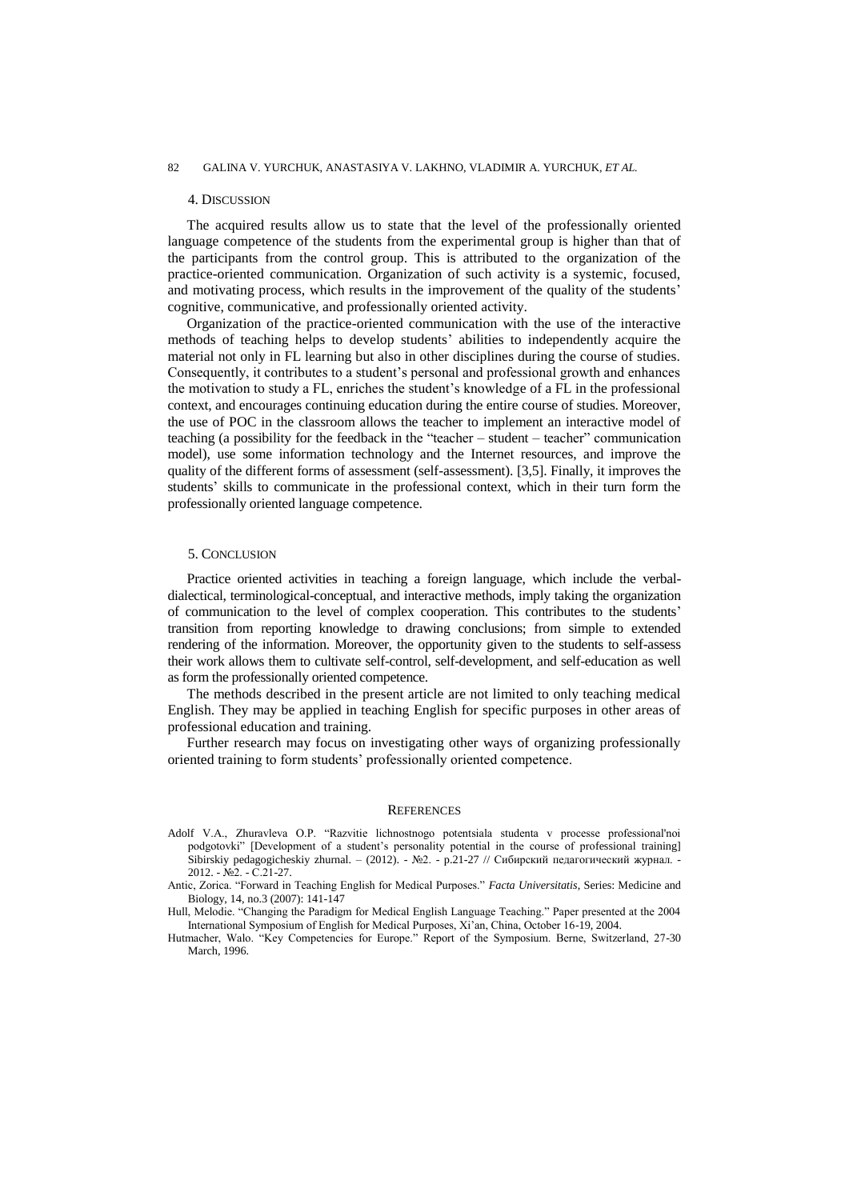#### 82 GALINA V. YURCHUK, ANASTASIYA V. LAKHNO, VLADIMIR A. YURCHUK, *ET AL.*

### 4. DISCUSSION

The acquired results allow us to state that the level of the professionally oriented language competence of the students from the experimental group is higher than that of the participants from the control group. This is attributed to the organization of the practice-oriented communication. Organization of such activity is a systemic, focused, and motivating process, which results in the improvement of the quality of the students' cognitive, communicative, and professionally oriented activity.

Organization of the practice-oriented communication with the use of the interactive methods of teaching helps to develop students' abilities to independently acquire the material not only in FL learning but also in other disciplines during the course of studies. Consequently, it contributes to a student's personal and professional growth and enhances the motivation to study a FL, enriches the student's knowledge of a FL in the professional context, and encourages continuing education during the entire course of studies. Moreover, the use of POC in the classroom allows the teacher to implement an interactive model of teaching (a possibility for the feedback in the "teacher – student – teacher" communication model), use some information technology and the Internet resources, and improve the quality of the different forms of assessment (self-assessment). [3,5]. Finally, it improves the students' skills to communicate in the professional context, which in their turn form the professionally oriented language competence.

### 5. CONCLUSION

Practice oriented activities in teaching a foreign language, which include the verbaldialectical, terminological-conceptual, and interactive methods, imply taking the organization of communication to the level of complex cooperation. This contributes to the students' transition from reporting knowledge to drawing conclusions; from simple to extended rendering of the information. Moreover, the opportunity given to the students to self-assess their work allows them to cultivate self-control, self-development, and self-education as well as form the professionally oriented competence.

The methods described in the present article are not limited to only teaching medical English. They may be applied in teaching English for specific purposes in other areas of professional education and training.

Further research may focus on investigating other ways of organizing professionally oriented training to form students' professionally oriented competence.

#### **REFERENCES**

Adolf V.A., Zhuravleva O.P. "Razvitie lichnostnogo potentsiala studenta v processe professional'noi podgotovki" [Development of a student's personality potential in the course of professional training] Sibirskiy pedagogicheskiy zhurnal. – (2012). - №2. - p.21-27 // Сибирский педагогический журнал. 2012. - №2. - С.21-27.

Antic, Zorica. "Forward in Teaching English for Medical Purposes." Facta Universitatis, Series: Medicine and Biology, 14, no.3 (2007): 141-147

Hull, Melodie. "Changing the Paradigm for Medical English Language Teaching." Paper presented at the 2004 International Symposium of English for Medical Purposes, Xi'an, China, October 16-19, 2004.

Hutmacher, Walo. "Key Competencies for Europe." Report of the Symposium. Berne, Switzerland, 27-30 March, 1996.